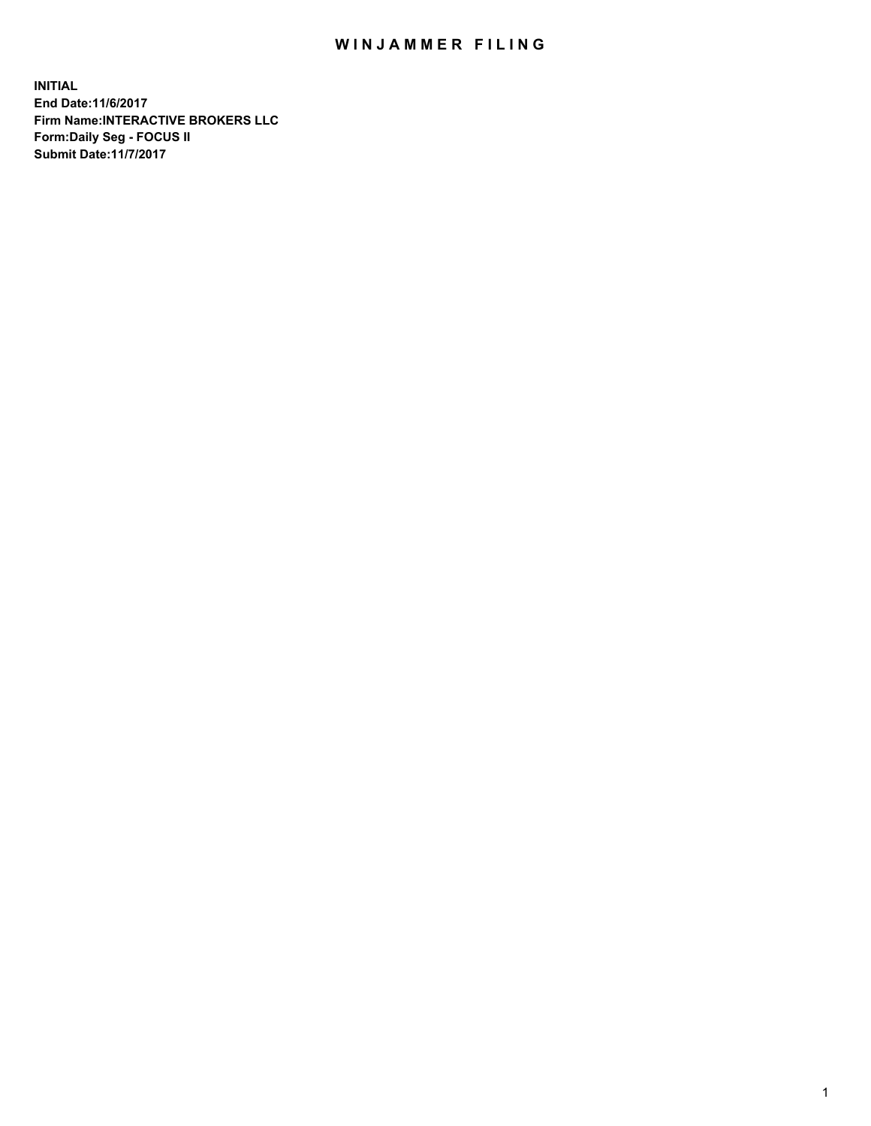## WIN JAMMER FILING

**INITIAL End Date:11/6/2017 Firm Name:INTERACTIVE BROKERS LLC Form:Daily Seg - FOCUS II Submit Date:11/7/2017**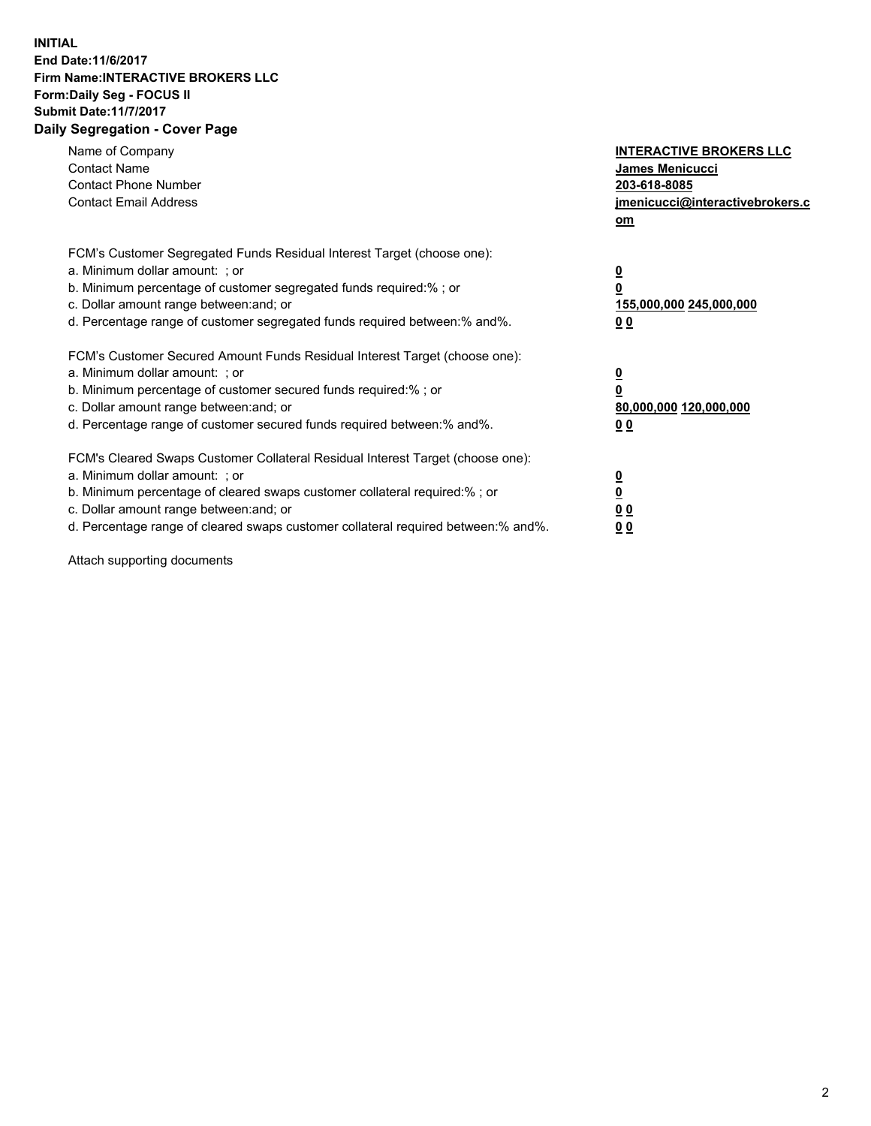## **INITIAL End Date:11/6/2017 Firm Name:INTERACTIVE BROKERS LLC Form:Daily Seg - FOCUS II Submit Date:11/7/2017 Daily Segregation - Cover Page**

| Name of Company<br><b>Contact Name</b><br><b>Contact Phone Number</b><br><b>Contact Email Address</b>                                                                                                                                                                                                                          | <b>INTERACTIVE BROKERS LLC</b><br><b>James Menicucci</b><br>203-618-8085<br>jmenicucci@interactivebrokers.c<br>om |
|--------------------------------------------------------------------------------------------------------------------------------------------------------------------------------------------------------------------------------------------------------------------------------------------------------------------------------|-------------------------------------------------------------------------------------------------------------------|
| FCM's Customer Segregated Funds Residual Interest Target (choose one):<br>a. Minimum dollar amount: ; or<br>b. Minimum percentage of customer segregated funds required:%; or<br>c. Dollar amount range between: and; or<br>d. Percentage range of customer segregated funds required between:% and%.                          | $\overline{\mathbf{0}}$<br>0<br>155,000,000 245,000,000<br>0 <sub>0</sub>                                         |
| FCM's Customer Secured Amount Funds Residual Interest Target (choose one):<br>a. Minimum dollar amount: ; or<br>b. Minimum percentage of customer secured funds required:%; or<br>c. Dollar amount range between: and; or<br>d. Percentage range of customer secured funds required between: % and %.                          | $\overline{\mathbf{0}}$<br>0<br>80,000,000 120,000,000<br>0 <sub>0</sub>                                          |
| FCM's Cleared Swaps Customer Collateral Residual Interest Target (choose one):<br>a. Minimum dollar amount: ; or<br>b. Minimum percentage of cleared swaps customer collateral required:% ; or<br>c. Dollar amount range between: and; or<br>d. Percentage range of cleared swaps customer collateral required between:% and%. | $\overline{\mathbf{0}}$<br>$\overline{\mathbf{0}}$<br>0 <sub>0</sub><br><u>00</u>                                 |

Attach supporting documents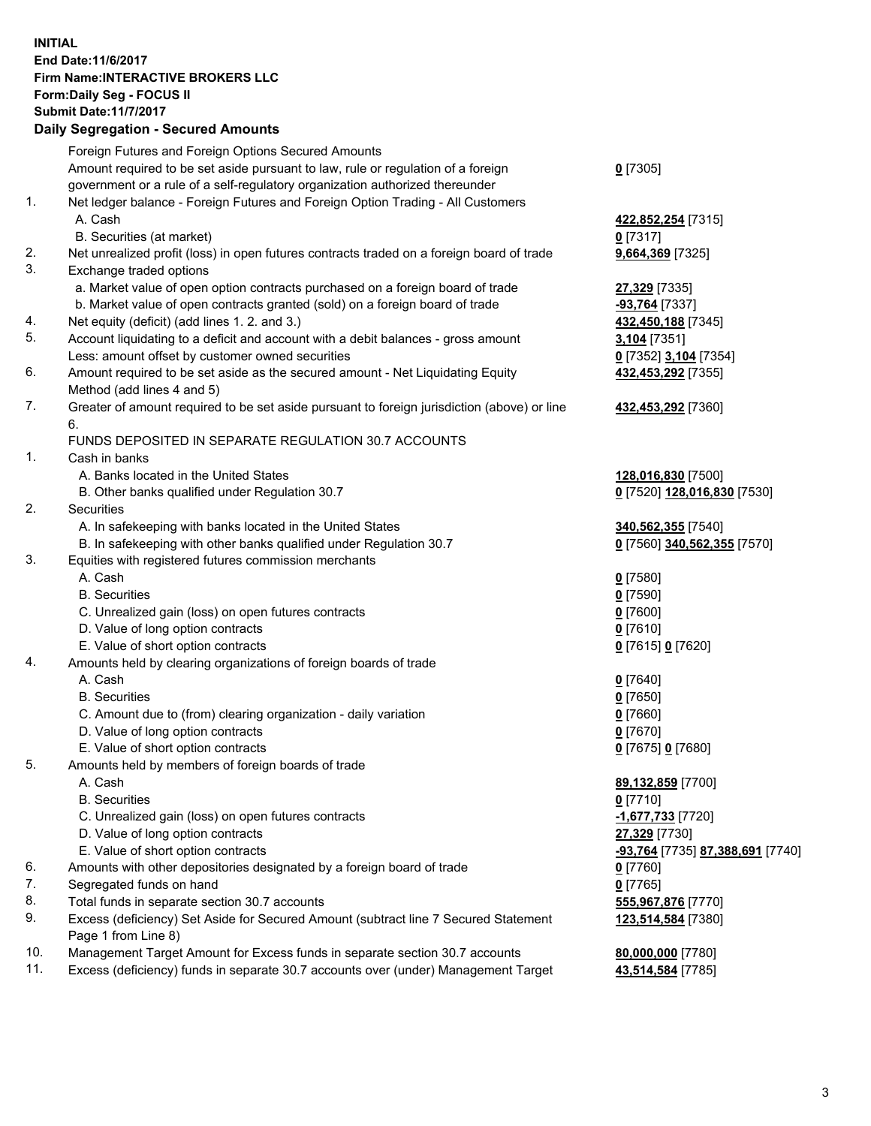## **INITIAL End Date:11/6/2017 Firm Name:INTERACTIVE BROKERS LLC Form:Daily Seg - FOCUS II Submit Date:11/7/2017 Daily Segregation - Secured Amounts**

|     | Dany Segregation - Secured Amounts                                                          |                                  |
|-----|---------------------------------------------------------------------------------------------|----------------------------------|
|     | Foreign Futures and Foreign Options Secured Amounts                                         |                                  |
|     | Amount required to be set aside pursuant to law, rule or regulation of a foreign            | $0$ [7305]                       |
|     | government or a rule of a self-regulatory organization authorized thereunder                |                                  |
| 1.  | Net ledger balance - Foreign Futures and Foreign Option Trading - All Customers             |                                  |
|     | A. Cash                                                                                     | 422,852,254 [7315]               |
|     | B. Securities (at market)                                                                   | $0$ [7317]                       |
| 2.  | Net unrealized profit (loss) in open futures contracts traded on a foreign board of trade   | 9,664,369 [7325]                 |
| 3.  | Exchange traded options                                                                     |                                  |
|     |                                                                                             |                                  |
|     | a. Market value of open option contracts purchased on a foreign board of trade              | 27,329 [7335]                    |
|     | b. Market value of open contracts granted (sold) on a foreign board of trade                | $-93,764$ [7337]                 |
| 4.  | Net equity (deficit) (add lines 1.2. and 3.)                                                | 432,450,188 [7345]               |
| 5.  | Account liquidating to a deficit and account with a debit balances - gross amount           | 3,104 [7351]                     |
|     | Less: amount offset by customer owned securities                                            | 0 [7352] 3,104 [7354]            |
| 6.  | Amount required to be set aside as the secured amount - Net Liquidating Equity              | 432,453,292 [7355]               |
|     | Method (add lines 4 and 5)                                                                  |                                  |
| 7.  | Greater of amount required to be set aside pursuant to foreign jurisdiction (above) or line | 432,453,292 [7360]               |
|     | 6.                                                                                          |                                  |
|     | FUNDS DEPOSITED IN SEPARATE REGULATION 30.7 ACCOUNTS                                        |                                  |
| 1.  | Cash in banks                                                                               |                                  |
|     | A. Banks located in the United States                                                       | 128,016,830 [7500]               |
|     | B. Other banks qualified under Regulation 30.7                                              | 0 [7520] 128,016,830 [7530]      |
| 2.  | Securities                                                                                  |                                  |
|     | A. In safekeeping with banks located in the United States                                   | 340,562,355 [7540]               |
|     | B. In safekeeping with other banks qualified under Regulation 30.7                          | 0 [7560] 340,562,355 [7570]      |
| 3.  | Equities with registered futures commission merchants                                       |                                  |
|     | A. Cash                                                                                     | $0$ [7580]                       |
|     | <b>B.</b> Securities                                                                        | $0$ [7590]                       |
|     | C. Unrealized gain (loss) on open futures contracts                                         | $0$ [7600]                       |
|     | D. Value of long option contracts                                                           | $0$ [7610]                       |
|     | E. Value of short option contracts                                                          | 0 [7615] 0 [7620]                |
| 4.  | Amounts held by clearing organizations of foreign boards of trade                           |                                  |
|     | A. Cash                                                                                     |                                  |
|     |                                                                                             | $0$ [7640]                       |
|     | <b>B.</b> Securities                                                                        | $0$ [7650]                       |
|     | C. Amount due to (from) clearing organization - daily variation                             | $0$ [7660]                       |
|     | D. Value of long option contracts                                                           | $0$ [7670]                       |
|     | E. Value of short option contracts                                                          | 0 [7675] 0 [7680]                |
| 5.  | Amounts held by members of foreign boards of trade                                          |                                  |
|     | A. Cash                                                                                     | 89,132,859 [7700]                |
|     | <b>B.</b> Securities                                                                        | $0$ [7710]                       |
|     | C. Unrealized gain (loss) on open futures contracts                                         | -1,677,733 [7720]                |
|     | D. Value of long option contracts                                                           | 27,329 [7730]                    |
|     | E. Value of short option contracts                                                          | -93,764 [7735] 87,388,691 [7740] |
| 6.  | Amounts with other depositories designated by a foreign board of trade                      | 0 [7760]                         |
| 7.  | Segregated funds on hand                                                                    | $0$ [7765]                       |
| 8.  | Total funds in separate section 30.7 accounts                                               | 555,967,876 [7770]               |
| 9.  | Excess (deficiency) Set Aside for Secured Amount (subtract line 7 Secured Statement         | 123,514,584 [7380]               |
|     | Page 1 from Line 8)                                                                         |                                  |
| 10. | Management Target Amount for Excess funds in separate section 30.7 accounts                 | 80,000,000 [7780]                |
| 11. | Excess (deficiency) funds in separate 30.7 accounts over (under) Management Target          | 43,514,584 [7785]                |
|     |                                                                                             |                                  |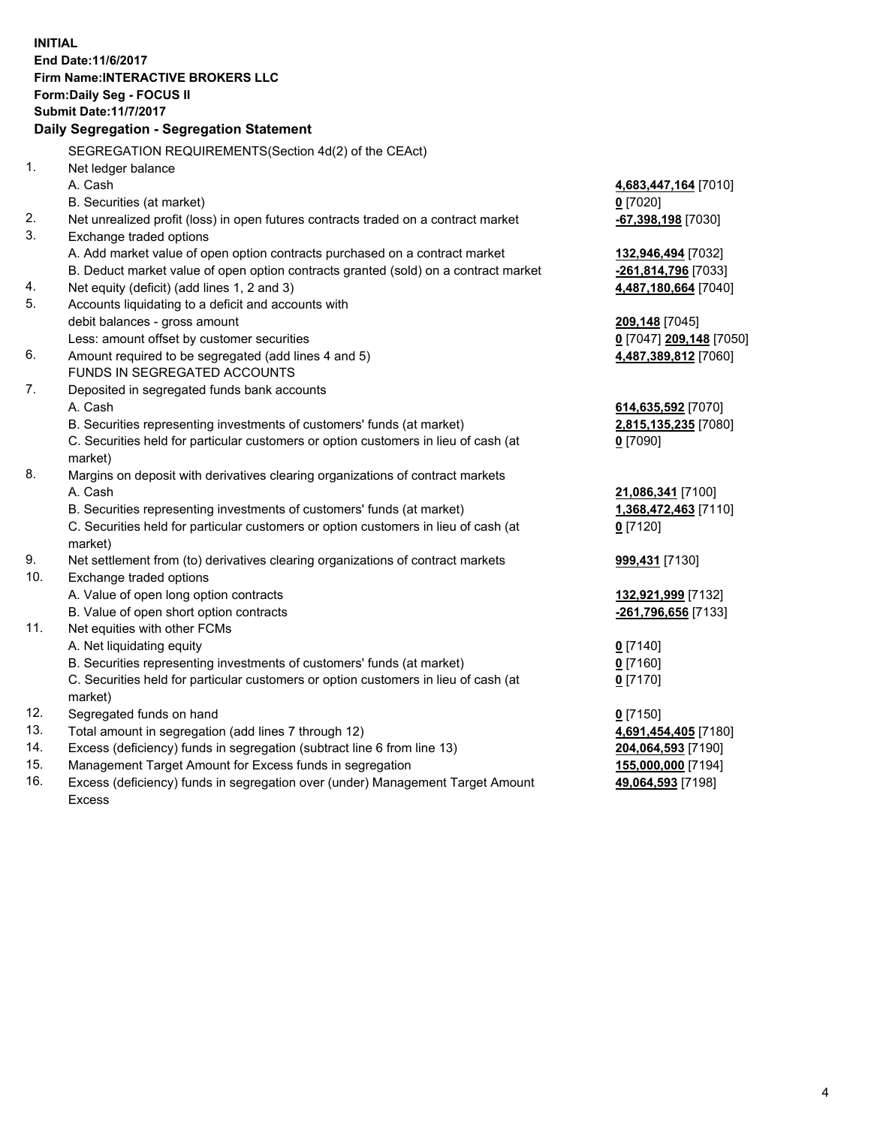**INITIAL End Date:11/6/2017 Firm Name:INTERACTIVE BROKERS LLC Form:Daily Seg - FOCUS II Submit Date:11/7/2017 Daily Segregation - Segregation Statement** SEGREGATION REQUIREMENTS(Section 4d(2) of the CEAct) 1. Net ledger balance A. Cash **4,683,447,164** [7010] B. Securities (at market) **0** [7020] 2. Net unrealized profit (loss) in open futures contracts traded on a contract market **-67,398,198** [7030] 3. Exchange traded options A. Add market value of open option contracts purchased on a contract market **132,946,494** [7032] B. Deduct market value of open option contracts granted (sold) on a contract market **-261,814,796** [7033] 4. Net equity (deficit) (add lines 1, 2 and 3) **4,487,180,664** [7040] 5. Accounts liquidating to a deficit and accounts with debit balances - gross amount **209,148** [7045] Less: amount offset by customer securities **0** [7047] **209,148** [7050] 6. Amount required to be segregated (add lines 4 and 5) **4,487,389,812** [7060] FUNDS IN SEGREGATED ACCOUNTS 7. Deposited in segregated funds bank accounts A. Cash **614,635,592** [7070] B. Securities representing investments of customers' funds (at market) **2,815,135,235** [7080] C. Securities held for particular customers or option customers in lieu of cash (at market) **0** [7090] 8. Margins on deposit with derivatives clearing organizations of contract markets A. Cash **21,086,341** [7100] B. Securities representing investments of customers' funds (at market) **1,368,472,463** [7110] C. Securities held for particular customers or option customers in lieu of cash (at market) **0** [7120] 9. Net settlement from (to) derivatives clearing organizations of contract markets **999,431** [7130] 10. Exchange traded options A. Value of open long option contracts **132,921,999** [7132] B. Value of open short option contracts **-261,796,656** [7133] 11. Net equities with other FCMs A. Net liquidating equity **0** [7140] B. Securities representing investments of customers' funds (at market) **0** [7160] C. Securities held for particular customers or option customers in lieu of cash (at market) **0** [7170] 12. Segregated funds on hand **0** [7150] 13. Total amount in segregation (add lines 7 through 12) **4,691,454,405** [7180] 14. Excess (deficiency) funds in segregation (subtract line 6 from line 13) **204,064,593** [7190] 15. Management Target Amount for Excess funds in segregation **155,000,000** [7194]

16. Excess (deficiency) funds in segregation over (under) Management Target Amount Excess

**49,064,593** [7198]